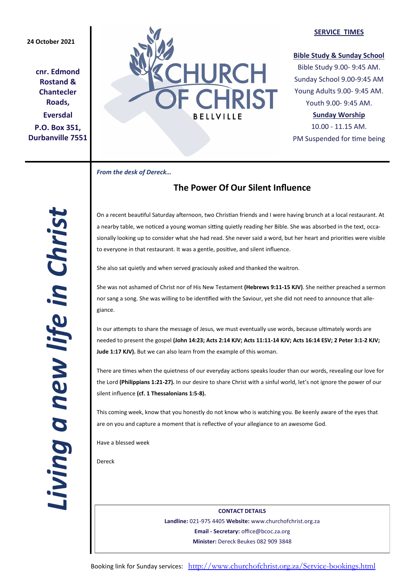# **24 October 2021**

**cnr. Edmond Rostand & Chantecler Roads, Eversdal P.O. Box 351, Durbanville 7551**



## **SERVICE TIMES**

# **Bible Study & Sunday School**

Bible Study 9.00- 9:45 AM. Sunday School 9.00-9:45 AM Young Adults 9.00- 9:45 AM. Youth 9.00- 9:45 AM.

# **Sunday Worship**

10.00 - 11.15 AM. PM Suspended for time being

*From the desk of Dereck…* 

# **The Power Of Our Silent Influence**

On a recent beautiful Saturday afternoon, two Christian friends and I were having brunch at a local restaurant. At a nearby table, we noticed a young woman sitting quietly reading her Bible. She was absorbed in the text, occasionally looking up to consider what she had read. She never said a word, but her heart and priorities were visible to everyone in that restaurant. It was a gentle, positive, and silent influence.

She also sat quietly and when served graciously asked and thanked the waitron.

She was not ashamed of Christ nor of His New Testament **(Hebrews 9:11-15 KJV)**. She neither preached a sermon nor sang a song. She was willing to be identified with the Saviour, yet she did not need to announce that allegiance.

In our attempts to share the message of Jesus, we must eventually use words, because ultimately words are needed to present the gospel **(John 14:23; Acts 2:14 KJV; Acts 11:11-14 KJV; Acts 16:14 ESV; 2 Peter 3:1-2 KJV; Jude 1:17 KJV).** But we can also learn from the example of this woman.

There are times when the quietness of our everyday actions speaks louder than our words, revealing our love for the Lord **(Philippians 1:21-27).** In our desire to share Christ with a sinful world, let's not ignore the power of our silent influence **(cf. 1 Thessalonians 1:5-8).**

This coming week, know that you honestly do not know who is watching you. Be keenly aware of the eyes that are on you and capture a moment that is reflective of your allegiance to an awesome God.

Have a blessed week

Dereck

**CONTACT DETAILS Landline:** 021-975 4405 **Website:** www.churchofchrist.org.za **Email - Secretary:** office@bcoc.za.org **Minister:** Dereck Beukes 082 909 3848